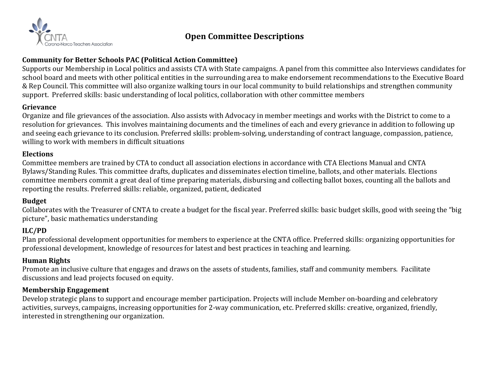

# **Open Committee Descriptions**

# **Community for Better Schools PAC (Political Action Committee)**

Supports our Membership in Local politics and assists CTA with State campaigns. A panel from this committee also Interviews candidates for school board and meets with other political entities in the surrounding area to make endorsement recommendations to the Executive Board & Rep Council. This committee will also organize walking tours in our local community to build relationships and strengthen community support. Preferred skills: basic understanding of local politics, collaboration with other committee members

## **Grievance**

Organize and file grievances of the association. Also assists with Advocacy in member meetings and works with the District to come to a resolution for grievances. This involves maintaining documents and the timelines of each and every grievance in addition to following up and seeing each grievance to its conclusion. Preferred skills: problem-solving, understanding of contract language, compassion, patience, willing to work with members in difficult situations

### **Elections**

Committee members are trained by CTA to conduct all association elections in accordance with CTA Elections Manual and CNTA Bylaws/Standing Rules. This committee drafts, duplicates and disseminates election timeline, ballots, and other materials. Elections committee members commit a great deal of time preparing materials, disbursing and collecting ballot boxes, counting all the ballots and reporting the results. Preferred skills: reliable, organized, patient, dedicated

## **Budget**

Collaborates with the Treasurer of CNTA to create a budget for the fiscal year. Preferred skills: basic budget skills, good with seeing the "big picture", basic mathematics understanding

## **ILC/PD**

Plan professional development opportunities for members to experience at the CNTA office. Preferred skills: organizing opportunities for professional development, knowledge of resources for latest and best practices in teaching and learning.

#### **Human Rights**

Promote an inclusive culture that engages and draws on the assets of students, families, staff and community members. Facilitate discussions and lead projects focused on equity.

#### **Membership Engagement**

Develop strategic plans to support and encourage member participation. Projects will include Member on-boarding and celebratory activities, surveys, campaigns, increasing opportunities for 2-way communication, etc. Preferred skills: creative, organized, friendly, interested in strengthening our organization.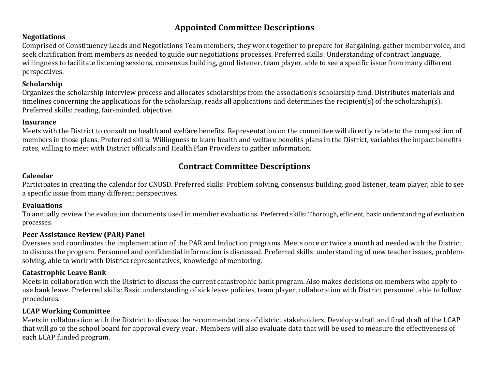# **Appointed Committee Descriptions**

## **Negotiations**

Comprised of Constituency Leads and Negotiations Team members, they work together to prepare for Bargaining, gather member voice, and seek clarification from members as needed to guide our negotiations processes. Preferred skills: Understanding of contract language, willingness to facilitate listening sessions, consensus building, good listener, team player, able to see a specific issue from many different perspectives.

## **Scholarship**

Organizes the scholarship interview process and allocates scholarships from the association's scholarship fund. Distributes materials and timelines concerning the applications for the scholarship, reads all applications and determines the recipient(s) of the scholarship(s). Preferred skills: reading, fair-minded, objective.

## **Insurance**

Meets with the District to consult on health and welfare benefits. Representation on the committee will directly relate to the composition of members in those plans. Preferred skills: Willingness to learn health and welfare benefits plans in the District, variables the impact benefits rates, willing to meet with District officials and Health Plan Providers to gather information.

# **Contract Committee Descriptions**

## **Calendar**

Participates in creating the calendar for CNUSD. Preferred skills: Problem solving, consensus building, good listener, team player, able to see a specific issue from many different perspectives.

## **Evaluations**

To annually review the evaluation documents used in member evaluations. Preferred skills: Thorough, efficient, basic understanding of evaluation processes.

# **Peer Assistance Review (PAR) Panel**

Oversees and coordinates the implementation of the PAR and Induction programs. Meets once or twice a month ad needed with the District to discuss the program. Personnel and confidential information is discussed. Preferred skills: understanding of new teacher issues, problemsolving, able to work with District representatives, knowledge of mentoring.

# **Catastrophic Leave Bank**

Meets in collaboration with the District to discuss the current catastrophic bank program. Also makes decisions on members who apply to use bank leave. Preferred skills: Basic understanding of sick leave policies, team player, collaboration with District personnel, able to follow procedures.

# **LCAP Working Committee**

Meets in collaboration with the District to discuss the recommendations of district stakeholders. Develop a draft and final draft of the LCAP that will go to the school board for approval every year. Members will also evaluate data that will be used to measure the effectiveness of each LCAP funded program.